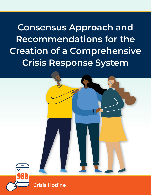**Consensus Approach and Recommendations for the Creation of a Comprehensive Crisis Response System**



988 Crisis Hotline **• 1**

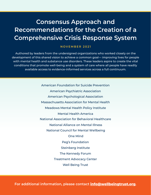# **Consensus Approach and Recommendations for the Creation of a Comprehensive Crisis Response System**

### **NOVEMBER 2021**

Authored by leaders from the undersigned organizations who worked closely on the development of this shared vision to achieve a common goal— improving lives for people with mental health and substance use disorders. These leaders aspire to create the vital conditions that promote well-being and a system of care where all people have readily available access to evidence-informed services across a full continuum.

> American Foundation for Suicide Prevention American Psychiatric Association American Psychological Association Massachusetts Association for Mental Health Meadows Mental Health Policy Institute Mental Health America National Association for Behavioral Healthcare National Alliance on Mental Illness National Council for Mental Wellbeing One Mind Peg's Foundation Steinberg Institute The Kennedy Forum Treatment Advocacy Center Well Being Trust

**For additional information, please contact [info@wellbeingtrust.org](mailto:info%40wellbeingtrust.org?subject=).**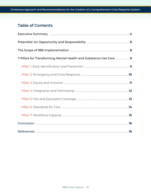# **Table of Contents**

| 7 Pillars for Transforming Mental Health and Substance Use Care  9 |  |
|--------------------------------------------------------------------|--|
|                                                                    |  |
|                                                                    |  |
|                                                                    |  |
|                                                                    |  |
|                                                                    |  |
|                                                                    |  |
|                                                                    |  |
|                                                                    |  |
|                                                                    |  |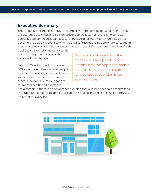### **Executive Summary**

The United States needs a thoughtful and comprehensive response to mental health or substance use crises and suicide prevention. As it stands, there is no consistent pathway a person in crisis can access for help. And for many communities, 911 has become the default response, which has led to frustration, inappropriate care, and in many cases even death. Simply put, without a robust infrastructure that allows for the

public to call for help and consistently get an appropriate response, these trends will not change.

July of 2022 will officially introduce 988: a new telephone number people in our communities, states, and nation will be able to call or text when a crisis arises. However, like many changes for mental health and substance

988 is not just a new number to call – it is an opportunity to rethink how we approach mental health, substance use disorders, and suicide prevention in our communities.

use disorders, if there is no comprehensive plan that outlines needed elements for a thorough and effective response, we run the risk of losing this precious opportunity to do better for everyone.

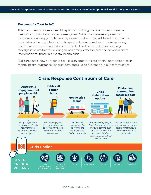#### *We cannot afford to fail.*

This document provides a clear blueprint for building the continuum of care we need for a functioning crisis response system. Without a systems approach to transformation, simply implementing a new number to call will have little impact on those who are in need. As seen in the graphic below, as well as the corresponding document, we have identified seven critical pillars that must be built into any redesign if we are to achieve our goal of a timely, effective, safe and compassionate intervention for those in a mental health crisis.

988 is not just a new number to call – it is an opportunity to rethink how we approach mental health, substance use disorders, and suicide prevention in our communities.

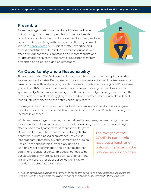### **Preamble**

As leading organizations in the United States dedicated to improving outcomes for people with mental health conditions, suicide risk, and substance use disorders\*, we have committed to speaking with one voice on the way forward. We have [consolidated](https://wellbeingtrust.org/wp-content/uploads/2020/10/Unified-Vision-v8-10_28_2020.pdf) our subject matter expertise and diverse constituencies behind this common purpose. We offer here our consensus approach and recommendations for the creation of a comprehensive crisis response system, presented as a clear and unified statement.



### **An Opportunity and a Responsibility**

The ravages of the COVID-19 pandemic have put a harsh and unforgiving focus on the way we respond to crisis. Each state, county and city operates its own localized version of crisis response with wildly varying results. This reality made coordinating COVID response (mental health/substance disorder/suicidal crisis response) very difficult to approach systematically. Many places are doing no better at successfully resolving crisis despite the best efforts of individuals struggling to succeed with ineffectual tools, lack of funds and inadequate capacity along the entire continuum of care.

In a major victory for those with mental health and substance use disorders, Congress included a historic increase in funds within the American Rescue Plan Act—the largest increase in decades.

While lawmakers began investing in mental health programs, numerous high-profile incidents of lethal law enforcement encounters involving those in acute crisis brought

attention to a reality advocates have spoken of for years. Unlike medical conditions, our response to psychiatric, behavioral, trauma-based or substance use crisis is inappropriately rooted in law enforcement and criminal justice. These encounters further highlight longstanding racial discrimination and a need to apply an equity lens to crisis response. This does not need to be our status quo anymore. Reliance on law enforcement, jails and prisons is a result of our collective failure to provide an appropriate alternative.

The ravages of the COVID-19 pandemic have put a harsh and unforgiving focus on the way we respond to crisis.

*\* Throughout this document, the terms mental health conditions and substance use disorders will be used to encompass the whole range of conditions associated with these illnesses.*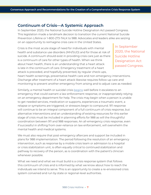### **Continuum of Crisis—A Systemic Approach**

In September 2020, the National Suicide Hotline Designation Act passed Congress. This legislation made a landmark decision to transition the current National Suicide Prevention Lifeline or 1-800-273-TALK to 988. Advocates and leaders alike are seizing on an opportunity to reimagine crisis care in the United States.

Crisis is the most acute stage of need for individuals with mental health and substance use disorders (MH/SUD) and for those at risk of suicide. A continuum should exist in providing crisis care just as there is a continuum of care for other types of health. When we think about heart health, there is an understanding that a heart attack is late in the continuum of care. Emergency treatment of a heart attack is preceded, and hopefully prevented, by regular check-ups,

In September 2020, the National Suicide Hotline Designation Act passed Congress.

heart health screenings, preventative health care and non-emergency interventions. Discharge after treatment of a heart attack likewise requires follow-up care and monitoring to prevent another emergency from arising and to adjust care as needed.

Similarly, a mental health or suicidal crisis [begins](https://www.thenationalcouncil.org/wp-content/uploads/2021/03/031121_GAP_Crisis-Report_Final.pdf?daf=375ateTbd56) well before it escalates to an emergency that could warrant a law enforcement response, or inappropriately relying on an emergency department for help. The crisis may begin when a person is unable to get needed services, medication or supports, experiences a traumatic event, a relapse or symptoms are triggered, or stressors begin to compound. 911 response will continue to be an integral component of a full continuum of crisis response, but alternative interventions and an understanding of existing resources for this earlier stage of crisis must be included in planning efforts for 988 as will the thoughtful coordination between 911 and 988 responses. An all-emergency crisis response, even if successful in shifting from over-reliance on law enforcement, will overwhelm the mental health and medical systems.

We must also require that post-emergency aftercare and support be included in plans for 988 implementation. The period following the resolution of an emergency intervention, such as response by a mobile crisis team or admission to a hospital or crisis stabilization unit, is often equally critical to continued stabilization and pathway to recovery of the person, as is coordination with the patient's clinician whenever possible.

What we need and what we must build is a crisis response system that follows this continuum of crisis and is informed by what we know about how to reach the individuals we intend to serve. This is an opportunity to create a re-envisioned crisis system convened and run by state or regional-level authorities.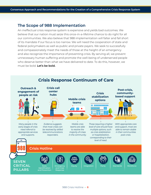### **The Scope of 988 Implementation**

An ineffectual crisis response system is expensive and yields bad outcomes. We believe that our nation must seize this once-in-a-lifetime chance to do right for all our communities. We also believe that 988 implementation will falter and fall short of its mandate if our focus is too narrow. We will need the cooperation of state and federal policymakers as well as public and private payers. We seek to successfully and compassionately meet the needs of those at the height of an emergency and also recognize the importance of preventing crisis. By serving all, we prevent unnecessary human suffering and promote the well-being of underserved people who deserve better than what we have delivered to date. To do this, however, we must be bold. **Let's be bold.**



# **Crisis Response Continuum of Care**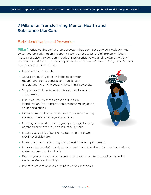# **7 Pillars for Transforming Mental Health and Substance Use Care**

### Early Identification and Prevention

**Pillar 1:** Crisis begins earlier than our system has been set up to acknowledge and continues long after an emergency is resolved. A successful 988 implementation must incentivize intervention in early stages of crisis before a full-blown emergency and also incentivize continued support and stabilization afterward. Early identification and prevention also includes:

- **•** Investment in research.
- **•** Consistent quality data available to allow for meaningful analysis and accountability and understanding of why people are coming into crisis.
- **•** Support warm lines to avoid crisis and address post crisis needs.
- **•** Public education campaigns to aid in early identification, including campaigns focused on young adult populations.
- **•** Universal mental health and substance use screening across all medical settings and schools.
- **•** Creating special Medicaid eligibility coverage for early psychosis and those in juvenile justice system.
- **•** Ensure availability of peer navigators and in-network, readily available care.
- **•** Invest in supportive housing, both transitional and permanent.
- **•** Integrate trauma-informed practices, social emotional learning, and multi-tiered systems of support in schools.
- **•** Expand youth mental health services by ensuring states take advantage of all available Medicaid funding.
- **•** Invest in prevention and early intervention in schools.

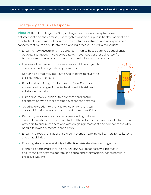#### Emergency and Crisis Response

**Pillar 2:** The ultimate goal of 988, shifting crisis response away from law enforcement and the criminal justice system and to our public health, medical, and mental health systems, will require infrastructure investment and an expansion of capacity that must be built into the planning process. This will also include:

- **•** Ensuring new investment, including community-based care, residential crisis options, and inpatient care adequate to meet needs of those diverted from hospital emergency departments and criminal justice involvement.
- **•** Lifeline call centers and crisis services should be subject to consistent and timely data requirements.
- **•** Requiring all federally-regulated health plans to cover the crisis continuum of care.
- **•** Funding the training of call center staff to effectively answer a wide range of mental health, suicide risk and substance use calls.
- **•** Expanding mobile crisis outreach teams and ensure collaboration with other emergency response systems.
- **•** Creating exception to the IMD exclusion for short-term crisis stabilization services that extend more than 23 hours.
- **•** Requiring recipients of crisis response funding to have close relationships with local mental health and substance use disorder treatment providers to ensure connections with on-going treatment and care for those who need it following a mental health crisis.
- **•** Ensuring capacity of National Suicide Prevention Lifeline call centers for calls, texts, and chat abilities.
- **•** Ensuring statewide availability of effective crisis stabilization programs.
- **•** Planning efforts must include how 911 and 988 responses will interact to ensure the two systems operate in a complementary fashion, not as parallel or exclusive systems.

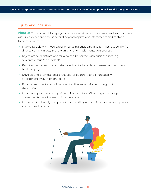### Equity and Inclusion

**Pillar 3:** Commitment to equity for underserved communities and inclusion of those with lived experience must extend beyond aspirational statements and rhetoric. To do this, we must:

- **•** Involve people with lived experience using crisis care and families, especially from diverse communities, in the planning and implementation process.
- **•** Reject artificial distinctions for who can be served with crisis services, e.g., "violent" versus "non-violent".
- **•** Require that research and data collection include data to assess and address health equity.
- **•** Develop and promote best practices for culturally and linguistically appropriate evaluation and care.
- **•** Fund recruitment and cultivation of a diverse workforce throughout the continuum.
- **•** Incentivize programs and policies with the effect of better getting people connected to care instead of incarceration.
- **•** Implement culturally competent and multilingual public education campaigns and outreach efforts.

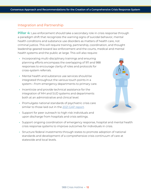#### Integration and Partnership

**Pillar 4:** Law enforcement should take a secondary role in crisis response through a paradigm shift that recognizes the warning signs of suicidal behavior, mental health conditions and substance use disorders as matters of health care, not criminal justice. This will require training, partnership, coordination, and thought leadership geared toward law enforcement and the courts, medical and mental health systems and the public at large. This will also require:

- **•** Incorporating multi-disciplinary trainings and ensuring planning efforts encompass the overlapping of 911 and 988 responses to encourage clarity of roles and protocols for cross-system referrals.
- **•** Mental health and substance use services should be integrated throughout the various touch points in a system—from emergency departments to primary care.
- **•** Incentivize and provide technical assistance for the integration of MH and SUD systems and departments both at an administrative and clinical level.
- **•** Promulgate national standards of psychiatric crisis care similar to those laid out in the [2021 GAP report.](https://www.thenationalcouncil.org/wp-content/uploads/2021/03/031121_GAP_Crisis-Report_Final.pdf?daf=375ateTbd56)
- **•** Support for peer outreach to high-risk individuals and upon discharge from hospitals and crisis settings.



- **•** Support ongoing coordination of emergency response, hospital and mental health crisis response systems to improve outcomes for individuals in crisis.
- **•** Structure federal investments through states to promote adoption of national standards and development of a comprehensive crisis continuum of care at statewide and local levels.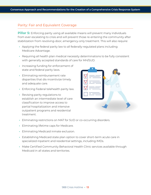### Parity: Fair and Equivalent Coverage

**Pillar 5:** Enforcing parity using all available means will prevent many individuals from ever escalating to crisis and will prevent those re-entering the community after stabilization from revolving-door, emergency-only treatment. This will also require:

- **•** Applying the federal parity law to all federally-regulated plans including Medicare Advantage.
- **•** Requiring all health plan medical necessity determinations to be fully consistent with generally accepted standards of care for MH/SUD.
- **•** Increasing funding for enforcement of state and federal parity laws.
- **•** Eliminating reimbursement rate disparities that dis-incentivize timely and adequate care.
- **•** Enforcing Federal telehealth parity law.
- **•** Revising parity regulations to establish an intermediate level of care classification to improve access to partial hospitalization and intensive outpatient programs and residential treatment.



- **•** Eliminating restrictions on MAT for SUD or co-occurring disorders.
- **•** Eliminating lifetime caps for Medicare.
- **•** Eliminating Medicaid inmate exclusion.
- **•** Establishing Medicaid state plan option to cover short-term acute care in specialized inpatient and residential settings, including IMDs.
- **•** Make Certified Community Behavioral Health Clinic services available through Medicaid in all states and territories.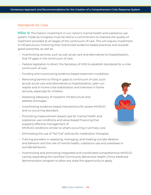### Standards for Care

**Pillar 6:** The historic investment in our nation's mental health and substance use system made by Congress must be tied to a commitment to improve the quality of treatment provided at all stages of the continuum of care. This will require investment in infrastructure, financing that incentivizes evidence-based practices and rewards good outcomes, as well as:

- **•** Incentivizing services, such as sub-acute care and alternatives to hospitalization, that fill gaps in the continuum of care.
- **•** Federal legislation to direct the Secretary of HHS to establish standards for a crisis continuum of care.
- **•** Funding and incentivizing evidence-based treatment modalities.
- **•** Removing barriers to filling in gaps to continuum of care, such as sub-acute care and alternatives to hospitalization, peer-run respite and in-home crisis stabilization and intensive in home services, especially for children.
- **•** Assessing adequacy of inpatient infrastructure and address shortages.
- **•** Incentivizing evidence-based interventions for severe MH/SUD and co-occurring disorders.
- **•** Promoting measurement-based care for mental health and substance use conditions and value-based financing that supports effective management of MH/SUD conditions similar to what's occurring in primary care.



- **•** Eliminating the use of "fail first" policies for medication therapies.
- **•** Training providers in assessing, managing, and treating suicidal ideation and behavior and the role of mental health, substance use and overdoses in suicidal behaviors.
- **•** Incentivizing and promoting integrated and coordinated comprehensive MH/SUD care by expanding the Certified Community Behavioral Health Clinics Medicaid demonstration program to allow any state the opportunity to apply.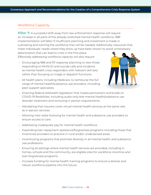### Workforce Capacity

**Pillar 7:** A successful shift away from law enforcement response will require an increase in all parts of the already-stretched mental health workforce. 988 implementation will falter if insufficient planning and investment is made in cultivating and training the workforce that will be needed. Additionally, resources that meet individuals' needs where they show up have been shown to avoid unnecessary deterioration that can lead to crisis in the first place.

Effectively addressing workforce capacity will also require:

- **•** Encouraging 988 and 911 response planning to view those responding to MH/SUD and suicide calls and incidents as mental health crisis responders with relevant skill sets rather than focusing on triage or dispatch functions.
- **•** All health plans, including Medicare, to reimburse the full range of mental health/substance use providers, including peer support specialists.



- **•** Enacting federal telehealth legislation that makes permanent and builds on COVID-19 flexibilities, including audio-only tele-mental health/substance use disorder treatment and removing in person requirements.
- **•** Mandating that insurers cover virtual mental health services at the same rate as in-person services.
- **•** Allowing inter-state licensing for mental health and substance use providers to ensure access to care.
- **•** Addressing inadequate pay for mental health workforce.
- **•** Expanding loan repayment assistance/forgiveness programs including those that incentivize providers to practice in rural and/or underserved areas.
- **•** Incentivizing programs that promote diversity in all mental health and substance use professions.
- **•** Ensuring all settings where mental health services are provided, including in homes, schools and the community, are eligible sites for workforce incentive and loan forgiveness programs.
- **•** Increase funding for mental health training programs to ensure a diverse and robust workforce pipeline into the future.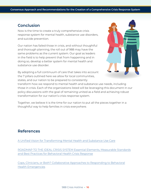## **Conclusion**

Now is the time to create a truly comprehensive crisis response system for mental health, substance use disorders, and suicide prevention.

Our nation has failed those in crisis, and without thoughtful and thorough planning, the roll out of 988 may have the same problems as the current system. Our goal as leaders in the field is to help prevent that from happening and in doing so, develop a better system for mental health and substance use disorder.

By adopting a full continuum of care that takes into account the 7 pillars outlined here we allow for local communities, states, and our nation to be prepared to consistently



transform how we respond to mental health and substance use needs, including those in crisis. Each of the organizations listed will be leveraging this document in our policy discussions with the goal of remaining united as a field and achieving robust transformation for our nation's crisis response system.

Together, we believe it is the time for our nation to put all the pieces together in a thoughtful way to help families in crisis everywhere.

# **References**

[A Unified Vision for Transforming Mental Health and Substance Use Care](https://wellbeingtrust.org/wp-content/uploads/2020/10/Unified-Vision-v8-10_28_2020.pdf)

[ROADMAP TO THE IDEAL CRISIS SYSTEM Essential Elements, Measurable Standards](https://www.thenationalcouncil.org/wp-content/uploads/2021/03/031121_GAP_Crisis-Report_Final.pdf?daf=375ateTbd56)  [and Best Practices for Behavioral Health Crisis Response](https://www.thenationalcouncil.org/wp-content/uploads/2021/03/031121_GAP_Crisis-Report_Final.pdf?daf=375ateTbd56)

[Cops, Clinicians, or Both? Collaborative Approaches to Responding to Behavioral](https://ps.psychiatryonline.org/doi/abs/10.1176/appi.ps.202000721?journalCode=ps)  [Health Emergencies](https://ps.psychiatryonline.org/doi/abs/10.1176/appi.ps.202000721?journalCode=ps)